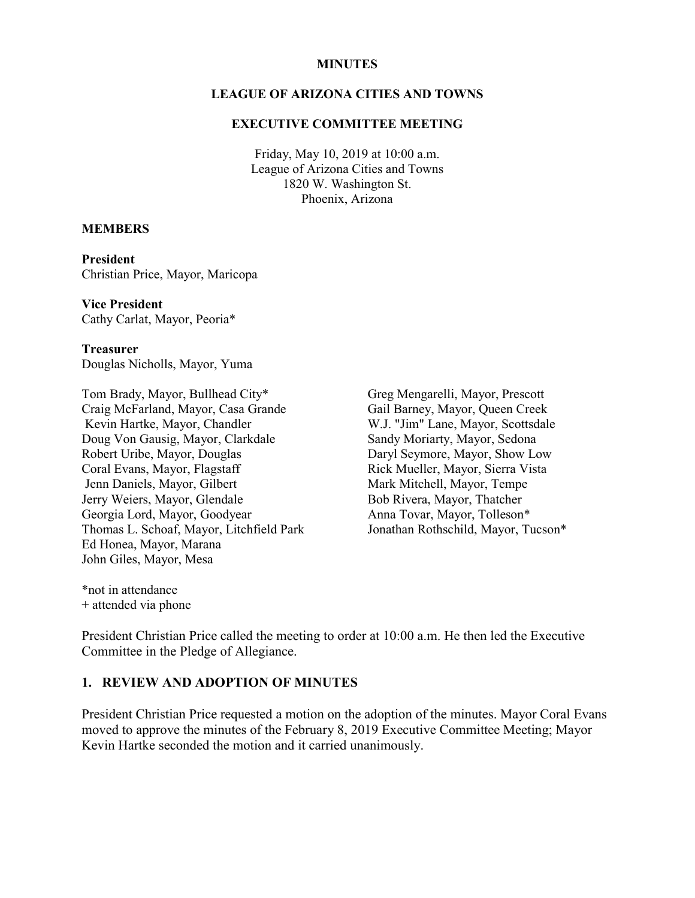#### **MINUTES**

### **LEAGUE OF ARIZONA CITIES AND TOWNS**

#### **EXECUTIVE COMMITTEE MEETING**

Friday, May 10, 2019 at 10:00 a.m. League of Arizona Cities and Towns 1820 W. Washington St. Phoenix, Arizona

#### **MEMBERS**

**President** Christian Price, Mayor, Maricopa

**Vice President** Cathy Carlat, Mayor, Peoria\*

**Treasurer** Douglas Nicholls, Mayor, Yuma

Tom Brady, Mayor, Bullhead City\* Craig McFarland, Mayor, Casa Grande Kevin Hartke, Mayor, Chandler Doug Von Gausig, Mayor, Clarkdale Robert Uribe, Mayor, Douglas Coral Evans, Mayor, Flagstaff Jenn Daniels, Mayor, Gilbert Jerry Weiers, Mayor, Glendale Georgia Lord, Mayor, Goodyear Thomas L. Schoaf, Mayor, Litchfield Park Ed Honea, Mayor, Marana John Giles, Mayor, Mesa

Greg Mengarelli, Mayor, Prescott Gail Barney, Mayor, Queen Creek W.J. "Jim" Lane, Mayor, Scottsdale Sandy Moriarty, Mayor, Sedona Daryl Seymore, Mayor, Show Low Rick Mueller, Mayor, Sierra Vista Mark Mitchell, Mayor, Tempe Bob Rivera, Mayor, Thatcher Anna Tovar, Mayor, Tolleson\* Jonathan Rothschild, Mayor, Tucson\*

\*not in attendance + attended via phone

President Christian Price called the meeting to order at 10:00 a.m. He then led the Executive Committee in the Pledge of Allegiance.

### **1. REVIEW AND ADOPTION OF MINUTES**

President Christian Price requested a motion on the adoption of the minutes. Mayor Coral Evans moved to approve the minutes of the February 8, 2019 Executive Committee Meeting; Mayor Kevin Hartke seconded the motion and it carried unanimously.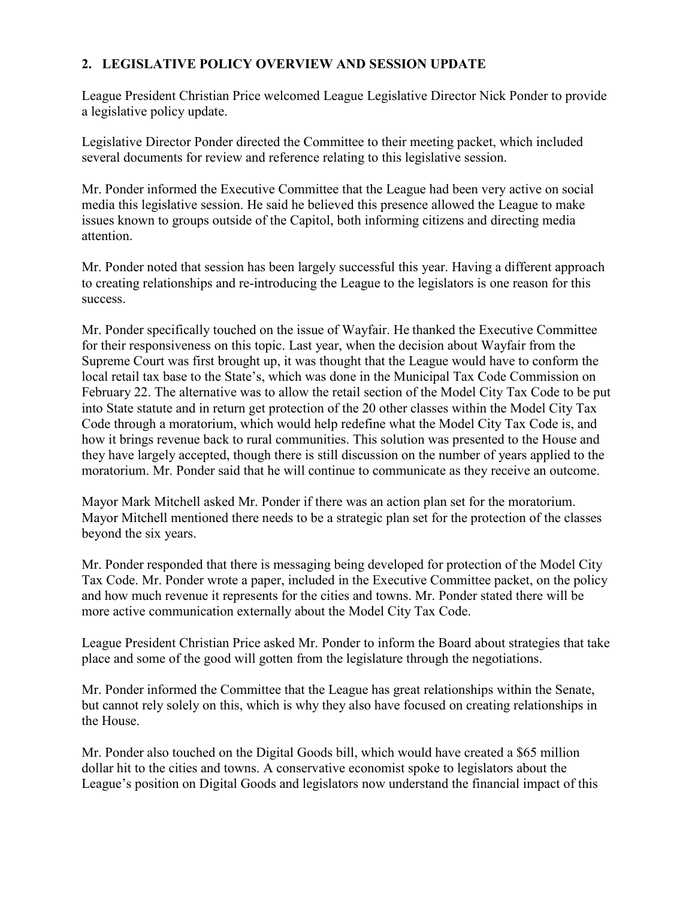# **2. LEGISLATIVE POLICY OVERVIEW AND SESSION UPDATE**

League President Christian Price welcomed League Legislative Director Nick Ponder to provide a legislative policy update.

Legislative Director Ponder directed the Committee to their meeting packet, which included several documents for review and reference relating to this legislative session.

Mr. Ponder informed the Executive Committee that the League had been very active on social media this legislative session. He said he believed this presence allowed the League to make issues known to groups outside of the Capitol, both informing citizens and directing media attention.

Mr. Ponder noted that session has been largely successful this year. Having a different approach to creating relationships and re-introducing the League to the legislators is one reason for this success.

Mr. Ponder specifically touched on the issue of Wayfair. He thanked the Executive Committee for their responsiveness on this topic. Last year, when the decision about Wayfair from the Supreme Court was first brought up, it was thought that the League would have to conform the local retail tax base to the State's, which was done in the Municipal Tax Code Commission on February 22. The alternative was to allow the retail section of the Model City Tax Code to be put into State statute and in return get protection of the 20 other classes within the Model City Tax Code through a moratorium, which would help redefine what the Model City Tax Code is, and how it brings revenue back to rural communities. This solution was presented to the House and they have largely accepted, though there is still discussion on the number of years applied to the moratorium. Mr. Ponder said that he will continue to communicate as they receive an outcome.

Mayor Mark Mitchell asked Mr. Ponder if there was an action plan set for the moratorium. Mayor Mitchell mentioned there needs to be a strategic plan set for the protection of the classes beyond the six years.

Mr. Ponder responded that there is messaging being developed for protection of the Model City Tax Code. Mr. Ponder wrote a paper, included in the Executive Committee packet, on the policy and how much revenue it represents for the cities and towns. Mr. Ponder stated there will be more active communication externally about the Model City Tax Code.

League President Christian Price asked Mr. Ponder to inform the Board about strategies that take place and some of the good will gotten from the legislature through the negotiations.

Mr. Ponder informed the Committee that the League has great relationships within the Senate, but cannot rely solely on this, which is why they also have focused on creating relationships in the House.

Mr. Ponder also touched on the Digital Goods bill, which would have created a \$65 million dollar hit to the cities and towns. A conservative economist spoke to legislators about the League's position on Digital Goods and legislators now understand the financial impact of this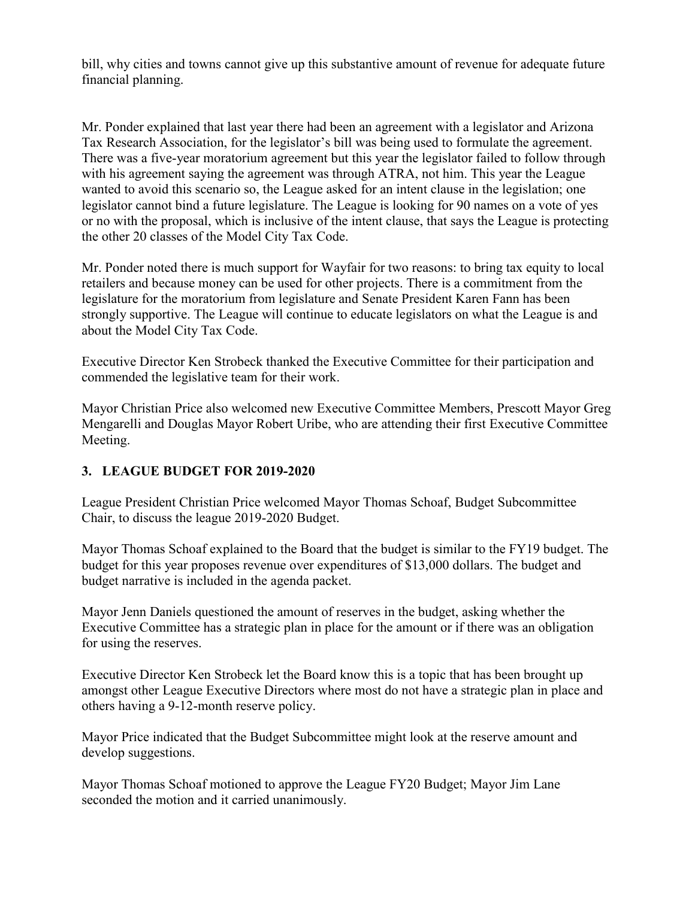bill, why cities and towns cannot give up this substantive amount of revenue for adequate future financial planning.

Mr. Ponder explained that last year there had been an agreement with a legislator and Arizona Tax Research Association, for the legislator's bill was being used to formulate the agreement. There was a five-year moratorium agreement but this year the legislator failed to follow through with his agreement saying the agreement was through ATRA, not him. This year the League wanted to avoid this scenario so, the League asked for an intent clause in the legislation; one legislator cannot bind a future legislature. The League is looking for 90 names on a vote of yes or no with the proposal, which is inclusive of the intent clause, that says the League is protecting the other 20 classes of the Model City Tax Code.

Mr. Ponder noted there is much support for Wayfair for two reasons: to bring tax equity to local retailers and because money can be used for other projects. There is a commitment from the legislature for the moratorium from legislature and Senate President Karen Fann has been strongly supportive. The League will continue to educate legislators on what the League is and about the Model City Tax Code.

Executive Director Ken Strobeck thanked the Executive Committee for their participation and commended the legislative team for their work.

Mayor Christian Price also welcomed new Executive Committee Members, Prescott Mayor Greg Mengarelli and Douglas Mayor Robert Uribe, who are attending their first Executive Committee Meeting.

## **3. LEAGUE BUDGET FOR 2019-2020**

League President Christian Price welcomed Mayor Thomas Schoaf, Budget Subcommittee Chair, to discuss the league 2019-2020 Budget.

Mayor Thomas Schoaf explained to the Board that the budget is similar to the FY19 budget. The budget for this year proposes revenue over expenditures of \$13,000 dollars. The budget and budget narrative is included in the agenda packet.

Mayor Jenn Daniels questioned the amount of reserves in the budget, asking whether the Executive Committee has a strategic plan in place for the amount or if there was an obligation for using the reserves.

Executive Director Ken Strobeck let the Board know this is a topic that has been brought up amongst other League Executive Directors where most do not have a strategic plan in place and others having a 9-12-month reserve policy.

Mayor Price indicated that the Budget Subcommittee might look at the reserve amount and develop suggestions.

Mayor Thomas Schoaf motioned to approve the League FY20 Budget; Mayor Jim Lane seconded the motion and it carried unanimously.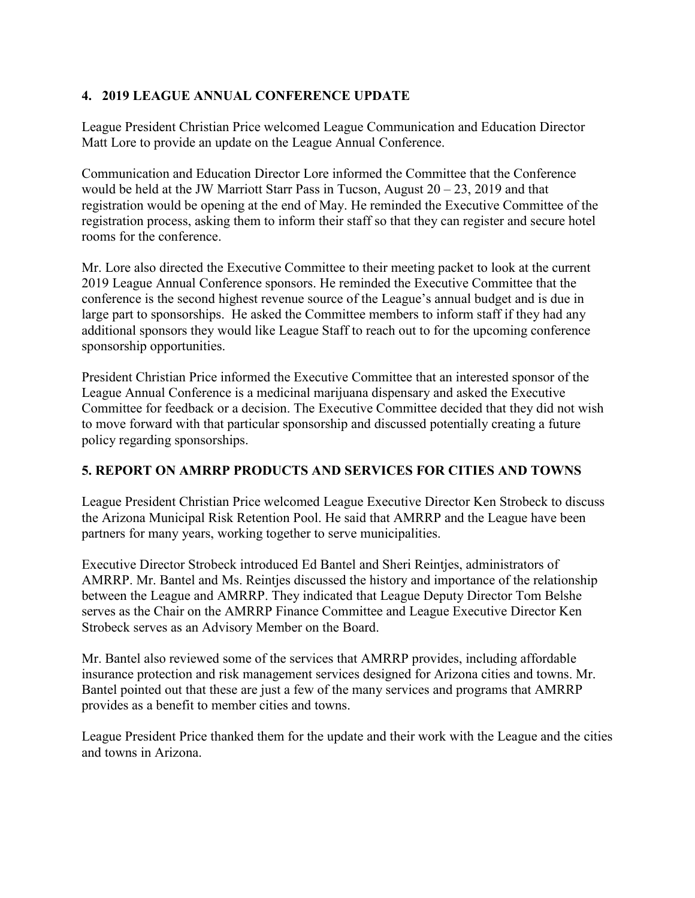# **4. 2019 LEAGUE ANNUAL CONFERENCE UPDATE**

League President Christian Price welcomed League Communication and Education Director Matt Lore to provide an update on the League Annual Conference.

Communication and Education Director Lore informed the Committee that the Conference would be held at the JW Marriott Starr Pass in Tucson, August  $20 - 23$ , 2019 and that registration would be opening at the end of May. He reminded the Executive Committee of the registration process, asking them to inform their staff so that they can register and secure hotel rooms for the conference.

Mr. Lore also directed the Executive Committee to their meeting packet to look at the current 2019 League Annual Conference sponsors. He reminded the Executive Committee that the conference is the second highest revenue source of the League's annual budget and is due in large part to sponsorships. He asked the Committee members to inform staff if they had any additional sponsors they would like League Staff to reach out to for the upcoming conference sponsorship opportunities.

President Christian Price informed the Executive Committee that an interested sponsor of the League Annual Conference is a medicinal marijuana dispensary and asked the Executive Committee for feedback or a decision. The Executive Committee decided that they did not wish to move forward with that particular sponsorship and discussed potentially creating a future policy regarding sponsorships.

## **5. REPORT ON AMRRP PRODUCTS AND SERVICES FOR CITIES AND TOWNS**

League President Christian Price welcomed League Executive Director Ken Strobeck to discuss the Arizona Municipal Risk Retention Pool. He said that AMRRP and the League have been partners for many years, working together to serve municipalities.

Executive Director Strobeck introduced Ed Bantel and Sheri Reintjes, administrators of AMRRP. Mr. Bantel and Ms. Reintjes discussed the history and importance of the relationship between the League and AMRRP. They indicated that League Deputy Director Tom Belshe serves as the Chair on the AMRRP Finance Committee and League Executive Director Ken Strobeck serves as an Advisory Member on the Board.

Mr. Bantel also reviewed some of the services that AMRRP provides, including affordable insurance protection and risk management services designed for Arizona cities and towns. Mr. Bantel pointed out that these are just a few of the many services and programs that AMRRP provides as a benefit to member cities and towns.

League President Price thanked them for the update and their work with the League and the cities and towns in Arizona.